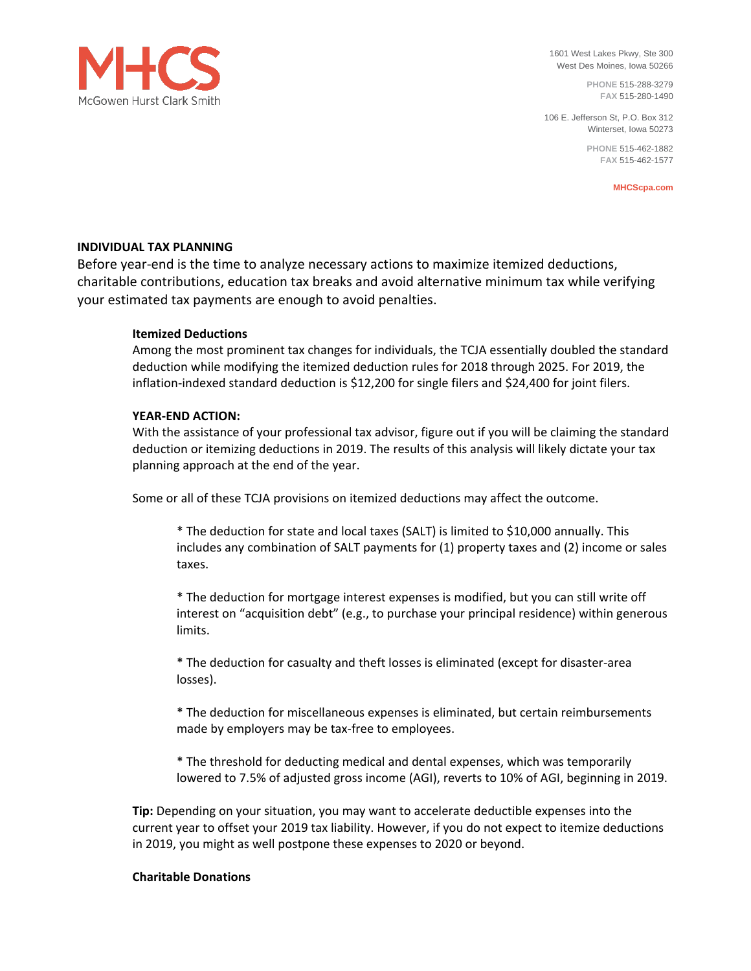

1601 West Lakes Pkwy, Ste 300 West Des Moines, Iowa 50266

> **PHONE** 515-288-3279 **FAX** 515-280-1490

106 E. Jefferson St, P.O. Box 312 Winterset, Iowa 50273

> **PHONE** 515-462-1882 **FAX** 515-462-1577

> > **MHCScpa.com**

# **INDIVIDUAL TAX PLANNING**

Before year-end is the time to analyze necessary actions to maximize itemized deductions, charitable contributions, education tax breaks and avoid alternative minimum tax while verifying your estimated tax payments are enough to avoid penalties.

# **Itemized Deductions**

Among the most prominent tax changes for individuals, the TCJA essentially doubled the standard deduction while modifying the itemized deduction rules for 2018 through 2025. For 2019, the inflation-indexed standard deduction is \$12,200 for single filers and \$24,400 for joint filers.

## **YEAR-END ACTION:**

With the assistance of your professional tax advisor, figure out if you will be claiming the standard deduction or itemizing deductions in 2019. The results of this analysis will likely dictate your tax planning approach at the end of the year.

Some or all of these TCJA provisions on itemized deductions may affect the outcome.

\* The deduction for state and local taxes (SALT) is limited to \$10,000 annually. This includes any combination of SALT payments for (1) property taxes and (2) income or sales taxes.

\* The deduction for mortgage interest expenses is modified, but you can still write off interest on "acquisition debt" (e.g., to purchase your principal residence) within generous limits.

\* The deduction for casualty and theft losses is eliminated (except for disaster-area losses).

\* The deduction for miscellaneous expenses is eliminated, but certain reimbursements made by employers may be tax-free to employees.

\* The threshold for deducting medical and dental expenses, which was temporarily lowered to 7.5% of adjusted gross income (AGI), reverts to 10% of AGI, beginning in 2019.

**Tip:** Depending on your situation, you may want to accelerate deductible expenses into the current year to offset your 2019 tax liability. However, if you do not expect to itemize deductions in 2019, you might as well postpone these expenses to 2020 or beyond.

## **Charitable Donations**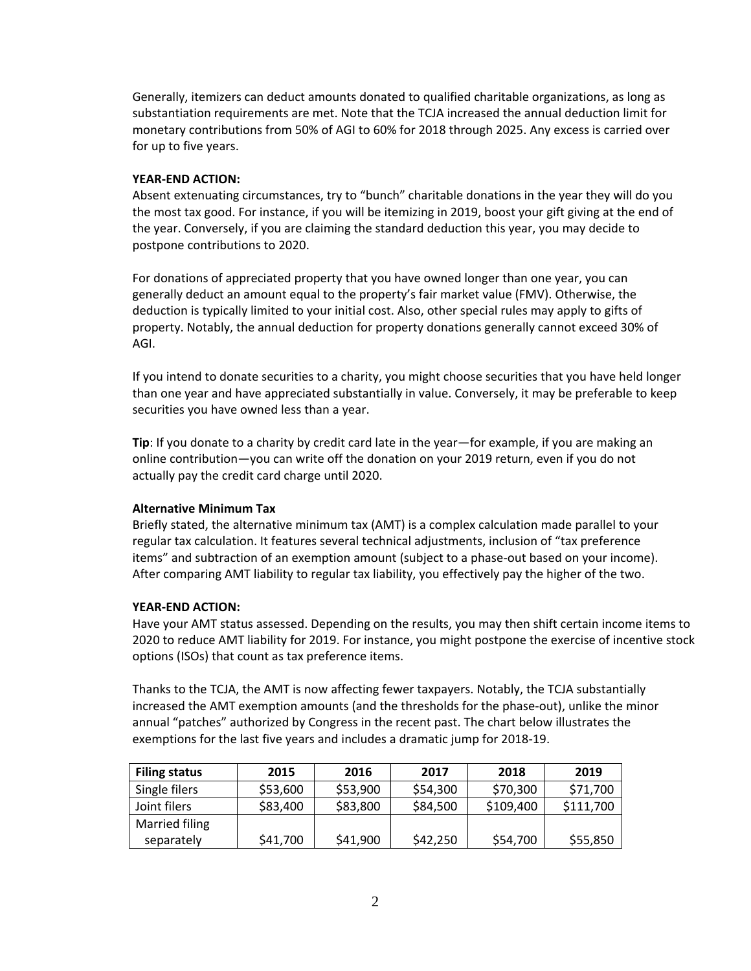Generally, itemizers can deduct amounts donated to qualified charitable organizations, as long as substantiation requirements are met. Note that the TCJA increased the annual deduction limit for monetary contributions from 50% of AGI to 60% for 2018 through 2025. Any excess is carried over for up to five years.

### **YEAR-END ACTION:**

Absent extenuating circumstances, try to "bunch" charitable donations in the year they will do you the most tax good. For instance, if you will be itemizing in 2019, boost your gift giving at the end of the year. Conversely, if you are claiming the standard deduction this year, you may decide to postpone contributions to 2020.

For donations of appreciated property that you have owned longer than one year, you can generally deduct an amount equal to the property's fair market value (FMV). Otherwise, the deduction is typically limited to your initial cost. Also, other special rules may apply to gifts of property. Notably, the annual deduction for property donations generally cannot exceed 30% of AGI.

If you intend to donate securities to a charity, you might choose securities that you have held longer than one year and have appreciated substantially in value. Conversely, it may be preferable to keep securities you have owned less than a year.

**Tip**: If you donate to a charity by credit card late in the year—for example, if you are making an online contribution—you can write off the donation on your 2019 return, even if you do not actually pay the credit card charge until 2020.

### **Alternative Minimum Tax**

Briefly stated, the alternative minimum tax (AMT) is a complex calculation made parallel to your regular tax calculation. It features several technical adjustments, inclusion of "tax preference items" and subtraction of an exemption amount (subject to a phase-out based on your income). After comparing AMT liability to regular tax liability, you effectively pay the higher of the two.

## **YEAR-END ACTION:**

Have your AMT status assessed. Depending on the results, you may then shift certain income items to 2020 to reduce AMT liability for 2019. For instance, you might postpone the exercise of incentive stock options (ISOs) that count as tax preference items.

Thanks to the TCJA, the AMT is now affecting fewer taxpayers. Notably, the TCJA substantially increased the AMT exemption amounts (and the thresholds for the phase-out), unlike the minor annual "patches" authorized by Congress in the recent past. The chart below illustrates the exemptions for the last five years and includes a dramatic jump for 2018-19.

| <b>Filing status</b> | 2015     | 2016     | 2017     | 2018      | 2019      |
|----------------------|----------|----------|----------|-----------|-----------|
| Single filers        | \$53,600 | \$53,900 | \$54,300 | \$70,300  | \$71,700  |
| Joint filers         | \$83,400 | \$83,800 | \$84,500 | \$109,400 | \$111,700 |
| Married filing       |          |          |          |           |           |
| separately           | \$41,700 | \$41,900 | \$42,250 | \$54,700  | \$55,850  |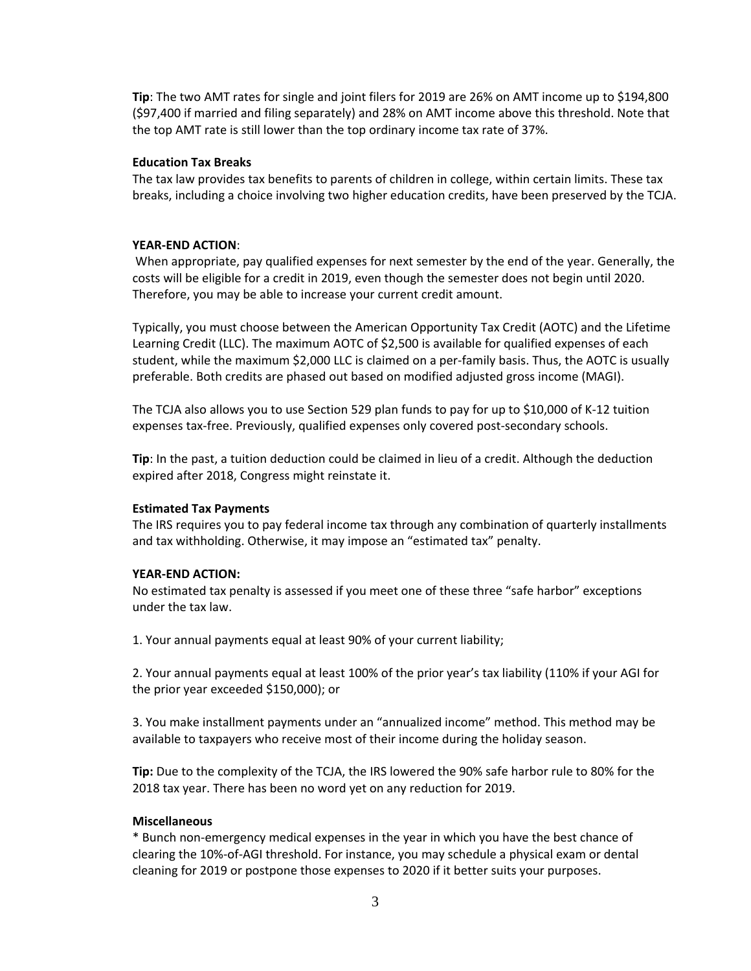**Tip**: The two AMT rates for single and joint filers for 2019 are 26% on AMT income up to \$194,800 (\$97,400 if married and filing separately) and 28% on AMT income above this threshold. Note that the top AMT rate is still lower than the top ordinary income tax rate of 37%.

### **Education Tax Breaks**

The tax law provides tax benefits to parents of children in college, within certain limits. These tax breaks, including a choice involving two higher education credits, have been preserved by the TCJA.

### **YEAR-END ACTION**:

When appropriate, pay qualified expenses for next semester by the end of the year. Generally, the costs will be eligible for a credit in 2019, even though the semester does not begin until 2020. Therefore, you may be able to increase your current credit amount.

Typically, you must choose between the American Opportunity Tax Credit (AOTC) and the Lifetime Learning Credit (LLC). The maximum AOTC of \$2,500 is available for qualified expenses of each student, while the maximum \$2,000 LLC is claimed on a per-family basis. Thus, the AOTC is usually preferable. Both credits are phased out based on modified adjusted gross income (MAGI).

The TCJA also allows you to use Section 529 plan funds to pay for up to \$10,000 of K-12 tuition expenses tax-free. Previously, qualified expenses only covered post-secondary schools.

**Tip**: In the past, a tuition deduction could be claimed in lieu of a credit. Although the deduction expired after 2018, Congress might reinstate it.

#### **Estimated Tax Payments**

The IRS requires you to pay federal income tax through any combination of quarterly installments and tax withholding. Otherwise, it may impose an "estimated tax" penalty.

#### **YEAR-END ACTION:**

No estimated tax penalty is assessed if you meet one of these three "safe harbor" exceptions under the tax law.

1. Your annual payments equal at least 90% of your current liability;

2. Your annual payments equal at least 100% of the prior year's tax liability (110% if your AGI for the prior year exceeded \$150,000); or

3. You make installment payments under an "annualized income" method. This method may be available to taxpayers who receive most of their income during the holiday season.

**Tip:** Due to the complexity of the TCJA, the IRS lowered the 90% safe harbor rule to 80% for the 2018 tax year. There has been no word yet on any reduction for 2019.

#### **Miscellaneous**

\* Bunch non-emergency medical expenses in the year in which you have the best chance of clearing the 10%-of-AGI threshold. For instance, you may schedule a physical exam or dental cleaning for 2019 or postpone those expenses to 2020 if it better suits your purposes.